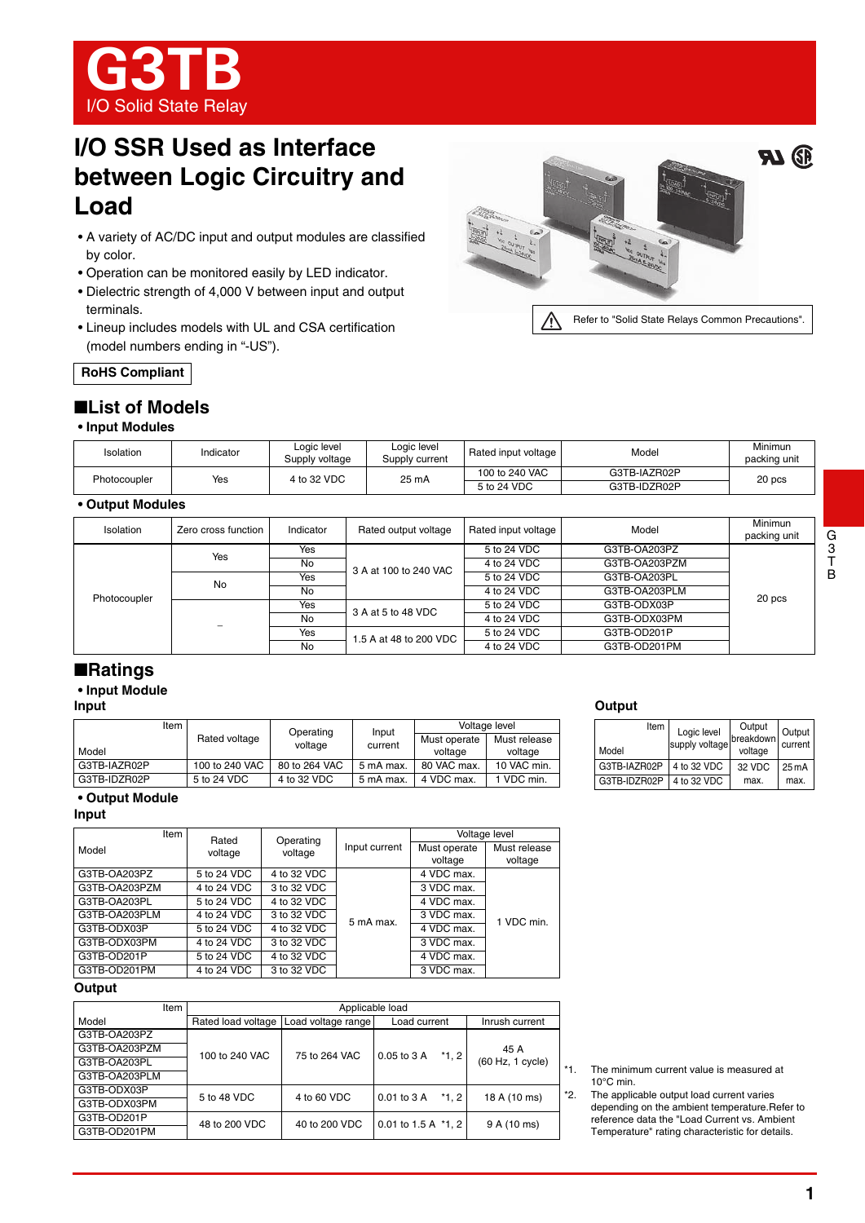

# **I/O SSR Used as Interface between Logic Circuitry and Load**

- A variety of AC/DC input and output modules are classified by color.
- Operation can be monitored easily by LED indicator.
- Dielectric strength of 4,000 V between input and output terminals.
- Lineup includes models with UL and CSA certification (model numbers ending in "-US").



**RoHS Compliant**

## ■**List of Models**

#### **• Input Modules**

| Isolation    | Indicator | Logic level<br>Supply voltage | Logic level<br>Supply current | Rated input voltage           | Model                        | Minimun<br>packing unit |
|--------------|-----------|-------------------------------|-------------------------------|-------------------------------|------------------------------|-------------------------|
| Photocoupler | Yes       | 4 to 32 VDC                   | 25 mA                         | 100 to 240 VAC<br>5 to 24 VDC | G3TB-IAZR02P<br>G3TB-IDZR02P | 20 pcs                  |

## **• Output Modules**

| Isolation    | Zero cross function | Indicator | Rated output voltage   | Rated input voltage | Model         | Minimun<br>packing unit |
|--------------|---------------------|-----------|------------------------|---------------------|---------------|-------------------------|
|              | Yes                 | Yes       | 3 A at 100 to 240 VAC  | 5 to 24 VDC         | G3TB-OA203PZ  | 20 pcs                  |
|              |                     | No        |                        | 4 to 24 VDC         | G3TB-OA203PZM |                         |
|              | No                  | Yes       |                        | 5 to 24 VDC         | G3TB-OA203PL  |                         |
|              |                     | No        |                        | 4 to 24 VDC         | G3TB-OA203PLM |                         |
| Photocoupler |                     | Yes       | 3 A at 5 to 48 VDC     | 5 to 24 VDC         | G3TB-ODX03P   |                         |
|              |                     | No        |                        | 4 to 24 VDC         | G3TB-ODX03PM  |                         |
|              |                     | Yes       | 1.5 A at 48 to 200 VDC | 5 to 24 VDC         | G3TB-OD201P   |                         |
|              |                     | No        |                        | 4 to 24 VDC         | G3TB-OD201PM  |                         |

## ■**Ratings**

## **• Input Module**

## **Input**

| Item         |                | Operating     | Input     | Voltage level |              |
|--------------|----------------|---------------|-----------|---------------|--------------|
|              | Rated voltage  | voltage       | current   | Must operate  | Must release |
| Model        |                |               |           | voltage       | voltage      |
| G3TB-IAZR02P | 100 to 240 VAC | 80 to 264 VAC | 5 mA max. | 80 VAC max.   | 10 VAC min.  |
| G3TB-IDZR02P | 5 to 24 VDC    | 4 to 32 VDC   | 5 mA max. | 4 VDC max.    | 1 VDC min.   |

# **Output**

| Item<br>Model | Logic level<br>supply voltage | Output<br>breakdown<br>voltage | Output<br>current |
|---------------|-------------------------------|--------------------------------|-------------------|
| G3TB-IAZR02P  | 4 to 32 VDC                   | 32 VDC                         | 25 <sub>m</sub> A |
| G3TB-IDZR02P  | 4 to 32 VDC                   | max.                           | max.              |

### **• Output Module**

#### **Input**

| Item          | Rated       | Operating   |               |                         | Voltage level           |
|---------------|-------------|-------------|---------------|-------------------------|-------------------------|
| Model         | voltage     | voltage     | Input current | Must operate<br>voltage | Must release<br>voltage |
| G3TB-OA203PZ  | 5 to 24 VDC | 4 to 32 VDC |               | 4 VDC max.              |                         |
| G3TB-OA203PZM | 4 to 24 VDC | 3 to 32 VDC |               | 3 VDC max.              |                         |
| G3TB-OA203PL  | 5 to 24 VDC | 4 to 32 VDC |               | 4 VDC max.              |                         |
| G3TB-OA203PLM | 4 to 24 VDC | 3 to 32 VDC | 5 mA max.     | 3 VDC max.              | 1 VDC min.              |
| G3TB-ODX03P   | 5 to 24 VDC | 4 to 32 VDC |               | 4 VDC max.              |                         |
| G3TB-ODX03PM  | 4 to 24 VDC | 3 to 32 VDC |               | 3 VDC max.              |                         |
| G3TB-OD201P   | 5 to 24 VDC | 4 to 32 VDC |               | 4 VDC max.              |                         |
| G3TB-OD201PM  | 4 to 24 VDC | 3 to 32 VDC |               | 3 VDC max.              |                         |

**Output**

| Item          | Applicable load    |                    |                       |                          |       |  |
|---------------|--------------------|--------------------|-----------------------|--------------------------|-------|--|
| Model         | Rated load voltage | Load voltage range | Load current          | Inrush current           |       |  |
| G3TB-OA203PZ  |                    | 75 to 264 VAC      |                       | 45 A<br>(60 Hz, 1 cycle) |       |  |
| G3TB-OA203PZM | 100 to 240 VAC     |                    | 0.05 to 3 A<br>$*1.2$ |                          |       |  |
| G3TB-OA203PL  |                    |                    |                       |                          | $* -$ |  |
| G3TB-OA203PLM |                    |                    |                       |                          |       |  |
| G3TB-ODX03P   | 5 to 48 VDC        | 4 to 60 VDC        | $*1.2$<br>0.01 to 3 A |                          | *2    |  |
| G3TB-ODX03PM  |                    |                    |                       | 18 A (10 ms)             |       |  |
| G3TB-OD201P   | 48 to 200 VDC      | 40 to 200 VDC      | 0.01 to 1.5 A $*1, 2$ | 9 A (10 ms)              |       |  |
| G3TB-OD201PM  |                    |                    |                       |                          |       |  |

The minimum current value is measured at 10°C min.

2. The applicable output load current varies depending on the ambient temperature.Refer to reference data the "Load Current vs. Ambient Temperature" rating characteristic for details.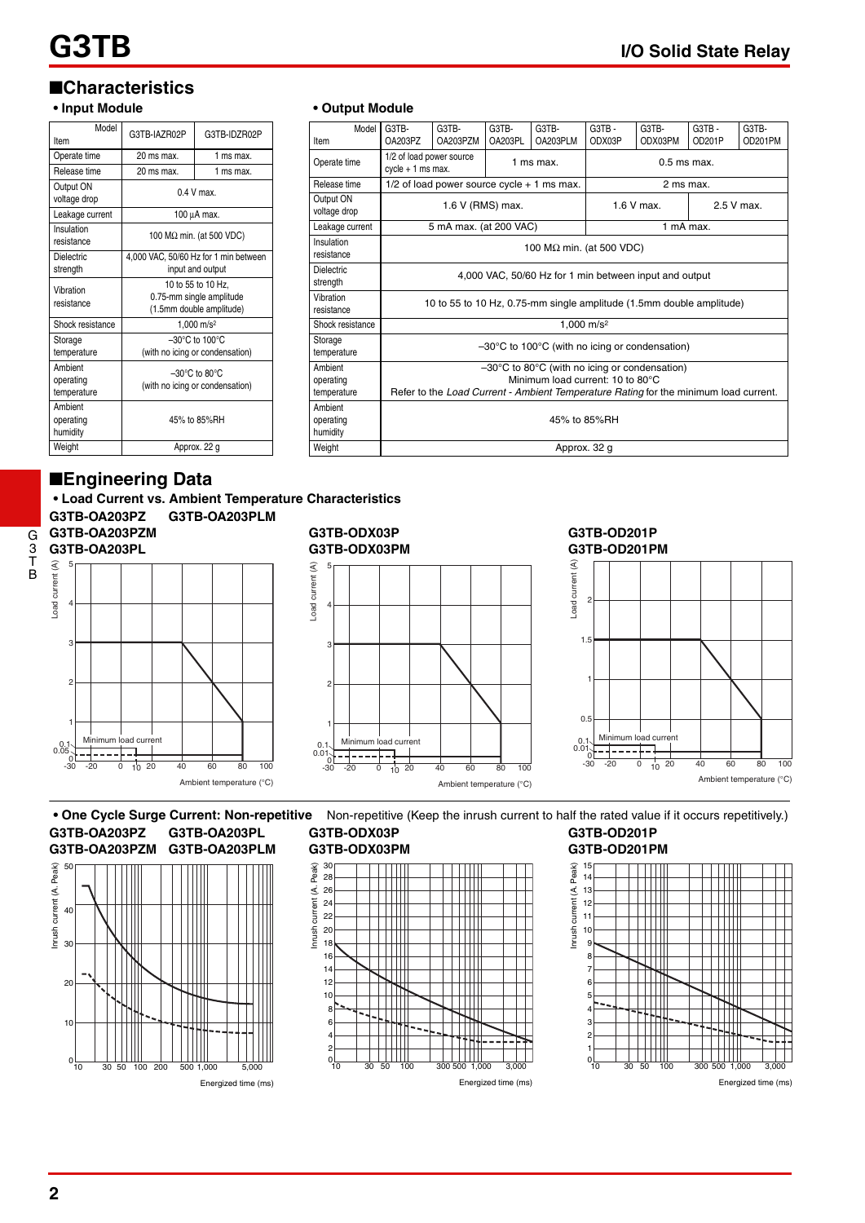G3TB - OD201P G3TB-OD201PM

# ■**Characteristics**

## **• Input Module**

| Model<br>Item                       | G3TB-IAZR02P                                                               | G3TB-IDZR02P                     |  |  |
|-------------------------------------|----------------------------------------------------------------------------|----------------------------------|--|--|
| Operate time                        | 20 ms max.                                                                 | 1 ms max.                        |  |  |
| Release time                        | 20 ms max.                                                                 | 1 ms max.                        |  |  |
| Output ON<br>voltage drop           | $0.4$ V max                                                                |                                  |  |  |
| Leakage current                     |                                                                            | 100 µA max.                      |  |  |
| Insulation<br>resistance            |                                                                            | 100 M $\Omega$ min. (at 500 VDC) |  |  |
| <b>Dielectric</b><br>strength       | 4,000 VAC, 50/60 Hz for 1 min between<br>input and output                  |                                  |  |  |
| Vibration<br>resistance             | 10 to 55 to 10 Hz.<br>0.75-mm single amplitude<br>(1.5mm double amplitude) |                                  |  |  |
| Shock resistance                    | 1.000 $m/s^2$                                                              |                                  |  |  |
| Storage<br>temperature              | $-30^{\circ}$ C to 100 $^{\circ}$ C<br>(with no icing or condensation)     |                                  |  |  |
| Ambient<br>operating<br>temperature | $-30^{\circ}$ C to 80 $^{\circ}$ C<br>(with no icing or condensation)      |                                  |  |  |
| Ambient<br>operating<br>humidity    | 45% to 85%RH                                                               |                                  |  |  |
| Weight                              |                                                                            | Approx. 22 g                     |  |  |

## ■**Engineering Data**

**• Load Current vs. Ambient Temperature Characteristics** 





### **G3TB-ODX03P G3TB-ODX03PM**

**• Output Module** Model

G3TB-OA203PZ

Operate time 1/2 of load power source

G3TB-OA203PZM

G3TB-OA203PL

Release time 1/2 of load power source cycle + 1 ms max. 2 ms max

Leakage current 5 mA max. (at 200 VAC) 1 mA max.

Storage<br>temperature –30°C to 100°C (with no icing or condensation)

resistance  $\overline{100}$  MΩ min. (at 500 VDC)

Shock resistance 1,000 m/s<sup>2</sup>

Weight **Approx. 32 g** 

G3TB-OA203PLM

 $\frac{1}{2}$  cycle + 1 ms max.  $\frac{1}{2}$  ms max. 0.5 ms max.

Voltage drop **1.6 V (RMS) max.** 1.6 V max. 2.5 V max.

resistance 10 to 55 to 10 Hz, 0.75-mm single amplitude (1.5mm double amplitude)

G3TB - ODX03P

4,000 VAC, 50/60 Hz for 1 min between input and output

–30°C to 80°C (with no icing or condensation) Minimum load current: 10 to 80°C Refer to the *Load Current - Ambient Temperature Rating* for the minimum load current.

45% to 85%RH

G3TB-ODX03PM

Item

Output ON

Insulation

Dielectric<br>strength

Vibration

Storage

Ambient operating temperature

Ambient operating humidity



#### **G3TB-OD201P G3TB-OD201PM**



**• One Cycle Surge Current: Non-repetitive** Non-repetitive (Keep the inrush current to half the rated value if it occurs repetitively.) **G3TB-OA203PZ G3TB-OA203PL G3TB-OA203PZM G3TB-OA203PLM**







#### **G3TB-OD201P G3TB-OD201PM**



Energized time (ms)

G 3

T B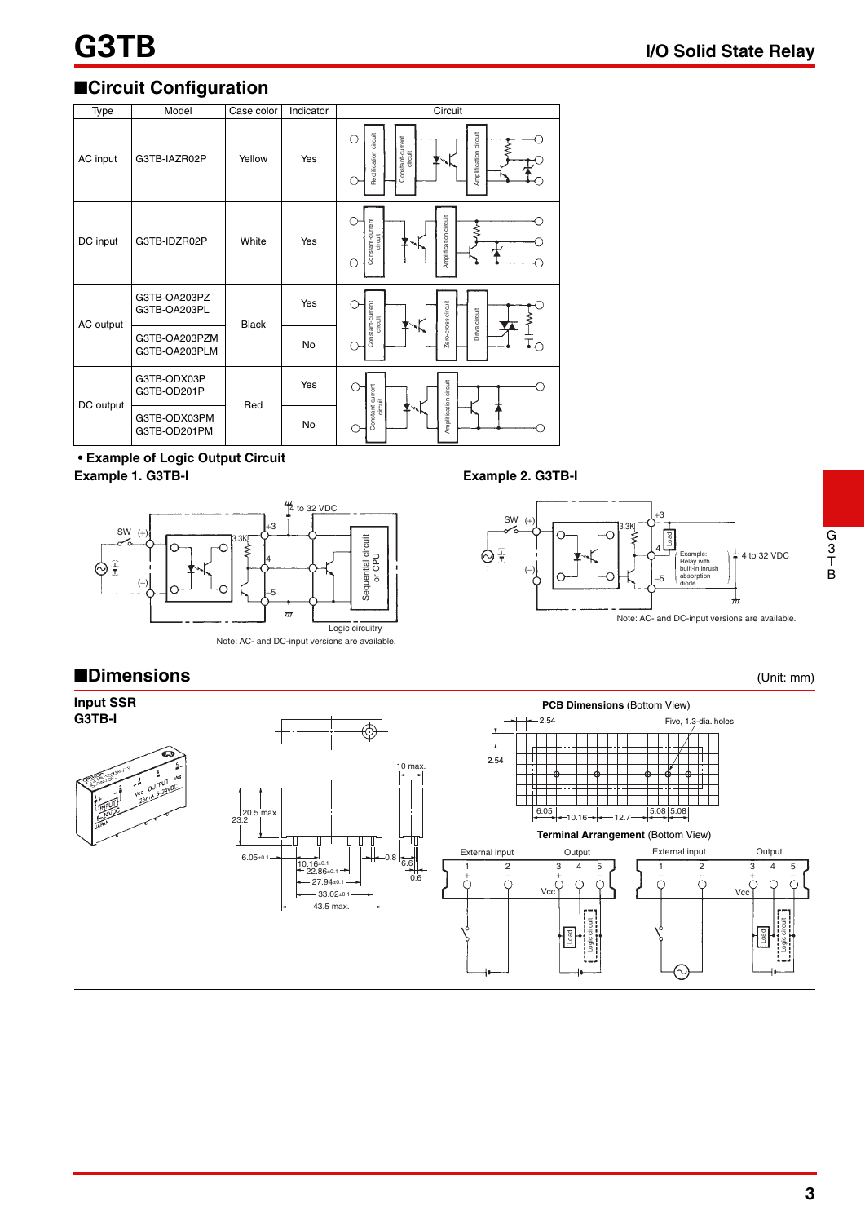# ■**Circuit Configuration**

| Type                                                                                      | Model                          | Case color   | Indicator | Circuit                                                                       |
|-------------------------------------------------------------------------------------------|--------------------------------|--------------|-----------|-------------------------------------------------------------------------------|
| AC input                                                                                  | G3TB-IAZR02P                   | Yellow       | Yes       | Amplification circuit<br>Rectification circuit<br>Constant-current<br>circuit |
| DC input                                                                                  | G3TB-IDZR02P                   | White        | Yes       | Amplification circuit<br>Constant-current<br>circuit                          |
| AC output                                                                                 | G3TB-OA203PZ<br>G3TB-OA203PL   | <b>Black</b> | Yes       |                                                                               |
|                                                                                           | G3TB-OA203PZM<br>G3TB-OA203PLM |              | No        | Zero-cross circuit<br>Constant-current<br>circuit<br>Drive circuit            |
| DC output                                                                                 | G3TB-ODX03P<br>G3TB-OD201P     |              | Yes       |                                                                               |
|                                                                                           | G3TB-ODX03PM<br>G3TB-OD201PM   | Red          | No        | Amplification circuit<br>Constant-current<br>circuit                          |
| <b>• Example of Logic Output Circuit</b><br>Example 1. G3TB-I<br><b>Example 2. G3TB-I</b> |                                |              |           |                                                                               |



#### Note: AC- and DC-input versions are available.





G 3 T B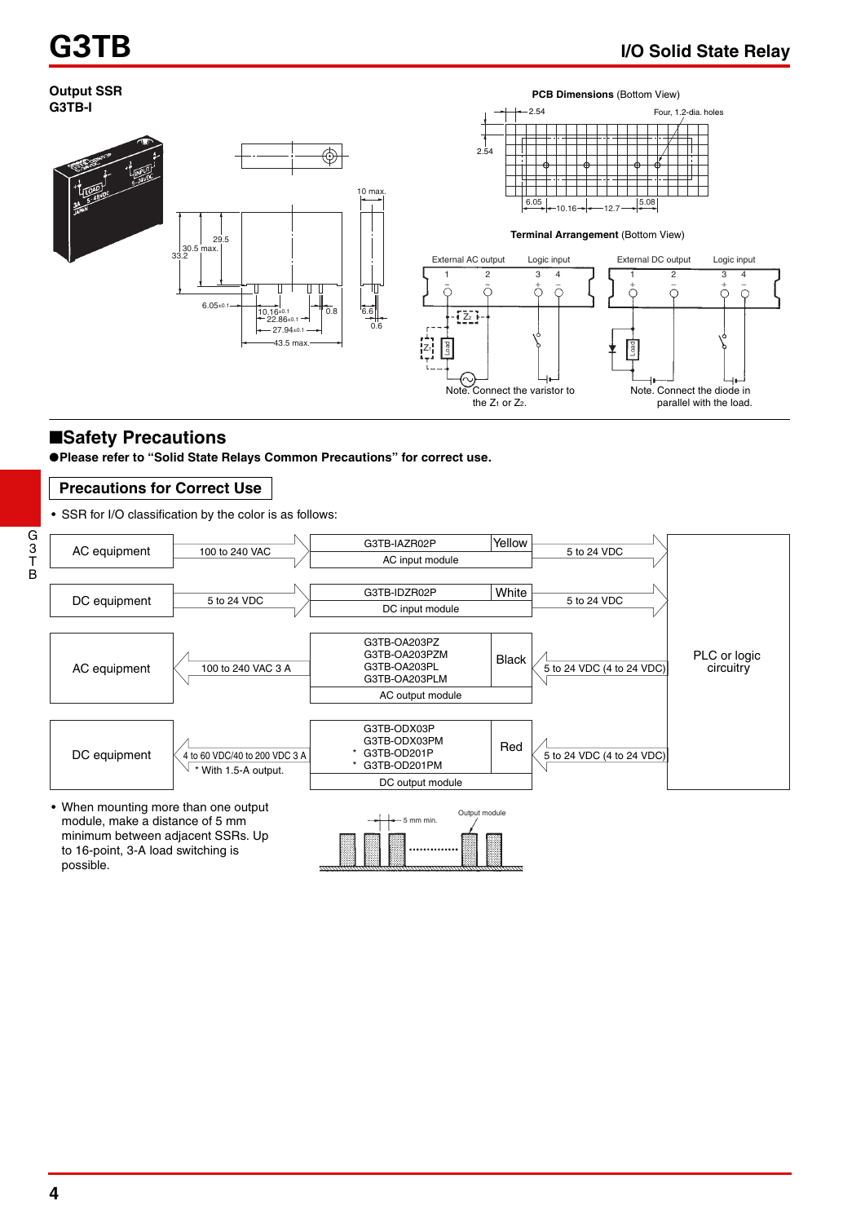

## ■**Safety Precautions**

●**Please refer to "Solid State Relays Common Precautions" for correct use.**

## **Precautions for Correct Use**

• SSR for I/O classification by the color is as follows: